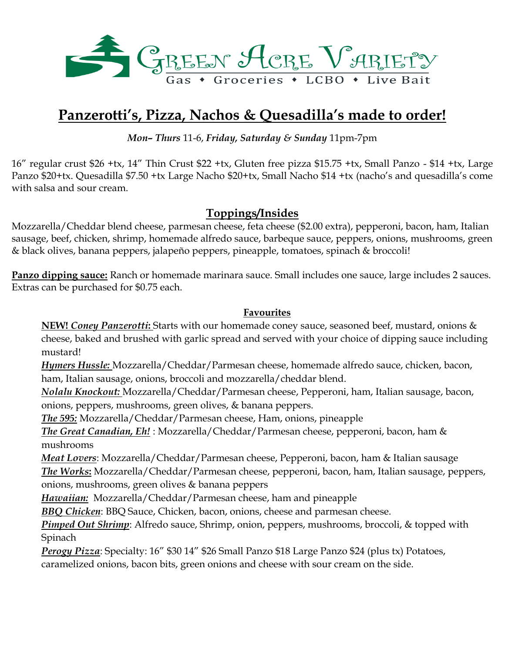

# **Panzerotti's, Pizza, Nachos & Quesadilla's made to order!**

*Mon– Thurs* 11-6, *Friday, Saturday & Sunday* 11pm-7pm

16" regular crust \$26 +tx, 14" Thin Crust \$22 +tx, Gluten free pizza \$15.75 +tx, Small Panzo - \$14 +tx, Large Panzo \$20+tx. Quesadilla \$7.50 +tx Large Nacho \$20+tx, Small Nacho \$14 +tx (nacho's and quesadilla's come with salsa and sour cream.

## **Toppings/Insides**

Mozzarella/Cheddar blend cheese, parmesan cheese, feta cheese (\$2.00 extra), pepperoni, bacon, ham, Italian sausage, beef, chicken, shrimp, homemade alfredo sauce, barbeque sauce, peppers, onions, mushrooms, green & black olives, banana peppers, jalapeño peppers, pineapple, tomatoes, spinach & broccoli!

**Panzo dipping sauce:** Ranch or homemade marinara sauce. Small includes one sauce, large includes 2 sauces. Extras can be purchased for \$0.75 each.

#### **Favourites**

**NEW!** *Coney Panzerotti***:** Starts with our homemade coney sauce, seasoned beef, mustard, onions & cheese, baked and brushed with garlic spread and served with your choice of dipping sauce including mustard!

*Hymers Hussle:* Mozzarella/Cheddar/Parmesan cheese, homemade alfredo sauce, chicken, bacon, ham, Italian sausage, onions, broccoli and mozzarella/cheddar blend.

*Nolalu Knockout:* Mozzarella/Cheddar/Parmesan cheese, Pepperoni, ham, Italian sausage, bacon, onions, peppers, mushrooms, green olives, & banana peppers.

*The 595:* Mozzarella/Cheddar/Parmesan cheese, Ham, onions, pineapple

*The Great Canadian, Eh!* : Mozzarella/Cheddar/Parmesan cheese, pepperoni, bacon, ham & mushrooms

*Meat Lovers*: Mozzarella/Cheddar/Parmesan cheese, Pepperoni, bacon, ham & Italian sausage *The Works***:** Mozzarella/Cheddar/Parmesan cheese, pepperoni, bacon, ham, Italian sausage, peppers, onions, mushrooms, green olives & banana peppers

*Hawaiian:* Mozzarella/Cheddar/Parmesan cheese, ham and pineapple

*BBQ Chicken*: BBQ Sauce, Chicken, bacon, onions, cheese and parmesan cheese.

*Pimped Out Shrimp*: Alfredo sauce, Shrimp, onion, peppers, mushrooms, broccoli, & topped with Spinach

*Perogy Pizza*: Specialty: 16" \$30 14" \$26 Small Panzo \$18 Large Panzo \$24 (plus tx) Potatoes, caramelized onions, bacon bits, green onions and cheese with sour cream on the side.